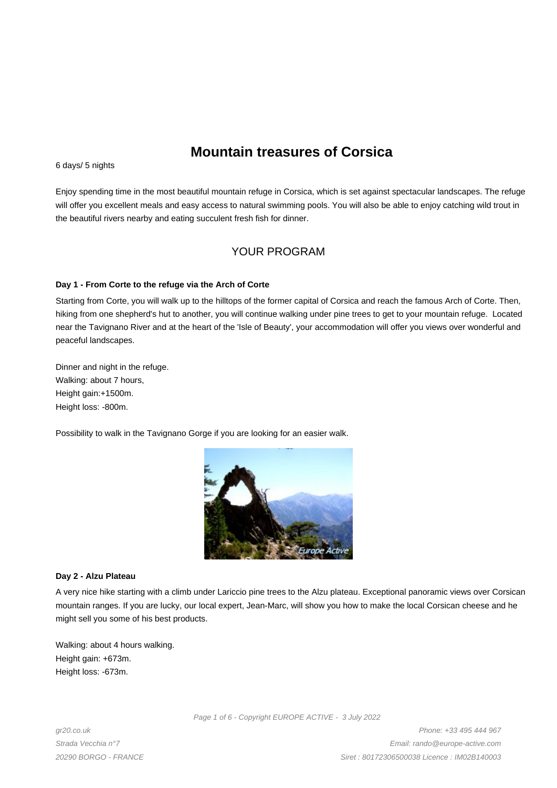# **Mountain treasures of Corsica**

6 days/ 5 nights

Enjoy spending time in the most beautiful mountain refuge in Corsica, which is set against spectacular landscapes. The refuge will offer you excellent meals and easy access to natural swimming pools. You will also be able to enjoy catching wild trout in the beautiful rivers nearby and eating succulent fresh fish for dinner.

## YOUR PROGRAM

#### **Day 1 - From Corte to the refuge via the Arch of Corte**

Starting from Corte, you will walk up to the hilltops of the former capital of Corsica and reach the famous Arch of Corte. Then, hiking from one shepherd's hut to another, you will continue walking under pine trees to get to your mountain refuge. Located near the Tavignano River and at the heart of the 'Isle of Beauty', your accommodation will offer you views over wonderful and peaceful landscapes.

Dinner and night in the refuge. Walking: about 7 hours, Height gain:+1500m. Height loss: -800m.

Possibility to walk in the Tavignano Gorge if you are looking for an easier walk.



#### **Day 2 - Alzu Plateau**

A very nice hike starting with a climb under Lariccio pine trees to the Alzu plateau. Exceptional panoramic views over Corsican mountain ranges. If you are lucky, our local expert, Jean-Marc, will show you how to make the local Corsican cheese and he might sell you some of his best products.

Walking: about 4 hours walking. Height gain: +673m. Height loss: -673m.

Page 1 of 6 - Copyright EUROPE ACTIVE - 3 July 2022

gr20.co.uk Strada Vecchia n°7 20290 BORGO - FRANCE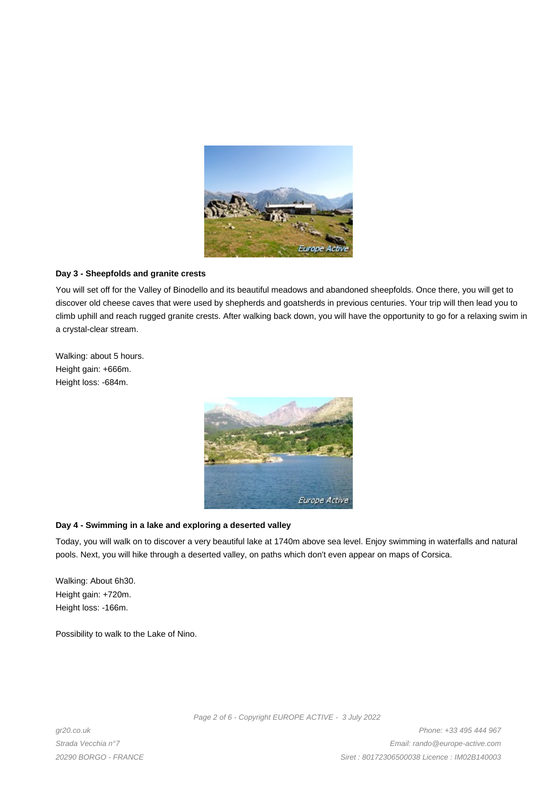

## **Day 3 - Sheepfolds and granite crests**

You will set off for the Valley of Binodello and its beautiful meadows and abandoned sheepfolds. Once there, you will get to discover old cheese caves that were used by shepherds and goatsherds in previous centuries. Your trip will then lead you to climb uphill and reach rugged granite crests. After walking back down, you will have the opportunity to go for a relaxing swim in a crystal-clear stream.

Walking: about 5 hours. Height gain: +666m. Height loss: -684m.



## **Day 4 - Swimming in a lake and exploring a deserted valley**

Today, you will walk on to discover a very beautiful lake at 1740m above sea level. Enjoy swimming in waterfalls and natural pools. Next, you will hike through a deserted valley, on paths which don't even appear on maps of Corsica.

Walking: About 6h30. Height gain: +720m. Height loss: -166m.

Possibility to walk to the Lake of Nino.

Page 2 of 6 - Copyright EUROPE ACTIVE - 3 July 2022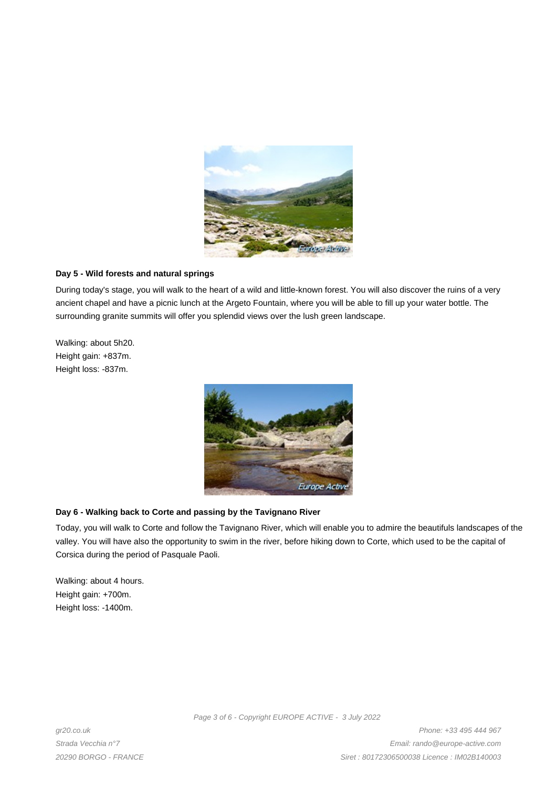

## **Day 5 - Wild forests and natural springs**

During today's stage, you will walk to the heart of a wild and little-known forest. You will also discover the ruins of a very ancient chapel and have a picnic lunch at the Argeto Fountain, where you will be able to fill up your water bottle. The surrounding granite summits will offer you splendid views over the lush green landscape.

Walking: about 5h20. Height gain: +837m. Height loss: -837m.



## **Day 6 - Walking back to Corte and passing by the Tavignano River**

Today, you will walk to Corte and follow the Tavignano River, which will enable you to admire the beautifuls landscapes of the valley. You will have also the opportunity to swim in the river, before hiking down to Corte, which used to be the capital of Corsica during the period of Pasquale Paoli.

Walking: about 4 hours. Height gain: +700m. Height loss: -1400m.

gr20.co.uk Strada Vecchia n°7 20290 BORGO - FRANCE Page 3 of 6 - Copyright EUROPE ACTIVE - 3 July 2022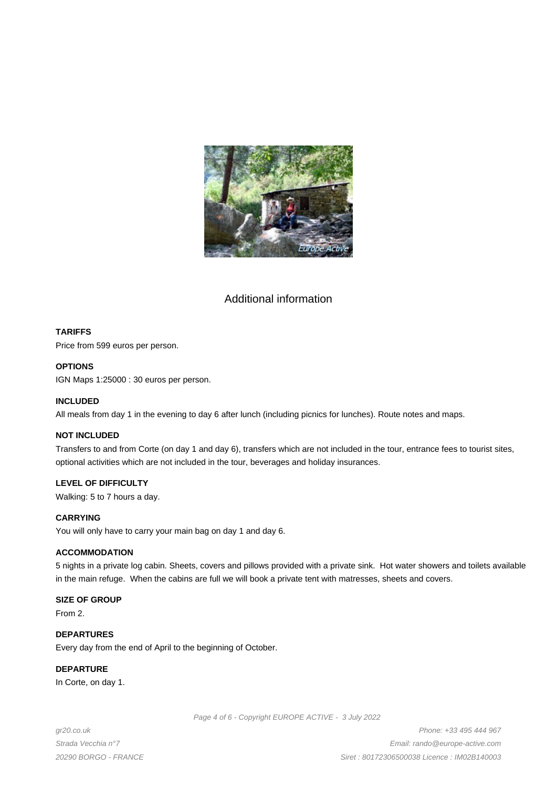

## Additional information

## **TARIFFS**

Price from 599 euros per person.

## **OPTIONS**

IGN Maps 1:25000 : 30 euros per person.

## **INCLUDED**

All meals from day 1 in the evening to day 6 after lunch (including picnics for lunches). Route notes and maps.

#### **NOT INCLUDED**

Transfers to and from Corte (on day 1 and day 6), transfers which are not included in the tour, entrance fees to tourist sites, optional activities which are not included in the tour, beverages and holiday insurances.

## **LEVEL OF DIFFICULTY**

Walking: 5 to 7 hours a day.

#### **CARRYING**

You will only have to carry your main bag on day 1 and day 6.

#### **ACCOMMODATION**

5 nights in a private log cabin. Sheets, covers and pillows provided with a private sink. Hot water showers and toilets available in the main refuge. When the cabins are full we will book a private tent with matresses, sheets and covers.

#### **SIZE OF GROUP**

From 2.

## **DEPARTURES**

Every day from the end of April to the beginning of October.

## **DEPARTURE**

In Corte, on day 1.

Page 4 of 6 - Copyright EUROPE ACTIVE - 3 July 2022

gr20.co.uk Strada Vecchia n°7 20290 BORGO - FRANCE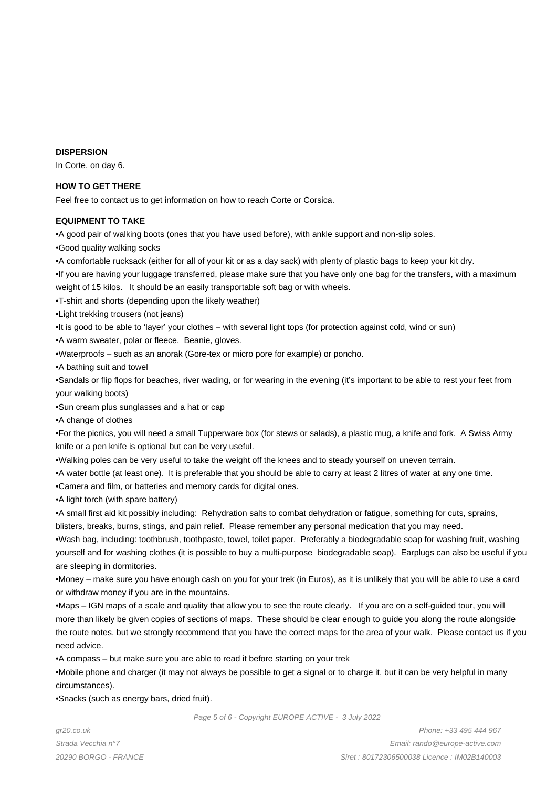#### **DISPERSION**

In Corte, on day 6.

## **HOW TO GET THERE**

Feel free to contact us to get information on how to reach Corte or Corsica.

## **EQUIPMENT TO TAKE**

- • A good pair of walking boots (ones that you have used before), with ankle support and non-slip soles.
- • Good quality walking socks
- • A comfortable rucksack (either for all of your kit or as a day sack) with plenty of plastic bags to keep your kit dry.
- If you are having your luggage transferred, please make sure that you have only one bag for the transfers, with a maximum weight of 15 kilos. It should be an easily transportable soft bag or with wheels.
- • T-shirt and shorts (depending upon the likely weather)
- • Light trekking trousers (not jeans)
- It is good to be able to 'layer' your clothes with several light tops (for protection against cold, wind or sun)
- A warm sweater, polar or fleece. Beanie, gloves.
- • Waterproofs such as an anorak (Gore-tex or micro pore for example) or poncho.
- A bathing suit and towel

• Sandals or flip flops for beaches, river wading, or for wearing in the evening (it's important to be able to rest your feet from your walking boots)

- Sun cream plus sunglasses and a hat or cap
- • A change of clothes

• For the picnics, you will need a small Tupperware box (for stews or salads), a plastic mug, a knife and fork. A Swiss Army knife or a pen knife is optional but can be very useful.

- • Walking poles can be very useful to take the weight off the knees and to steady yourself on uneven terrain.
- • A water bottle (at least one). It is preferable that you should be able to carry at least 2 litres of water at any one time.
- • Camera and film, or batteries and memory cards for digital ones.
- A light torch (with spare battery)

• A small first aid kit possibly including: Rehydration salts to combat dehydration or fatigue, something for cuts, sprains,

blisters, breaks, burns, stings, and pain relief. Please remember any personal medication that you may need.

• Wash bag, including: toothbrush, toothpaste, towel, toilet paper. Preferably a biodegradable soap for washing fruit, washing yourself and for washing clothes (it is possible to buy a multi-purpose biodegradable soap). Earplugs can also be useful if you are sleeping in dormitories.

• Money – make sure you have enough cash on you for your trek (in Euros), as it is unlikely that you will be able to use a card or withdraw money if you are in the mountains.

• Maps – IGN maps of a scale and quality that allow you to see the route clearly. If you are on a self-guided tour, you will more than likely be given copies of sections of maps. These should be clear enough to guide you along the route alongside the route notes, but we strongly recommend that you have the correct maps for the area of your walk. Please contact us if you need advice.

• A compass – but make sure you are able to read it before starting on your trek

• Mobile phone and charger (it may not always be possible to get a signal or to charge it, but it can be very helpful in many circumstances).

• Snacks (such as energy bars, dried fruit).